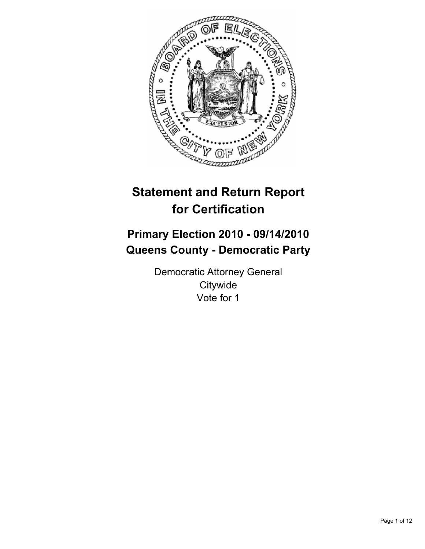

# **Statement and Return Report for Certification**

## **Primary Election 2010 - 09/14/2010 Queens County - Democratic Party**

Democratic Attorney General **Citywide** Vote for 1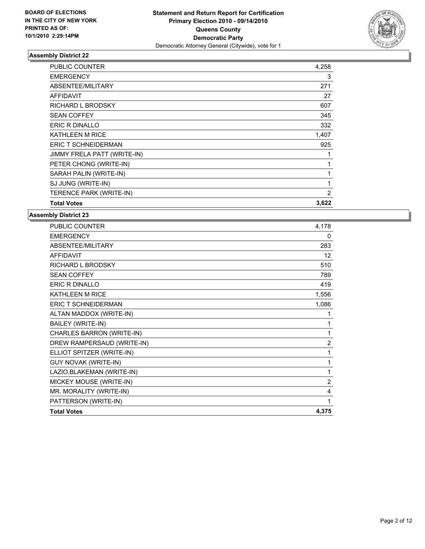

| <b>PUBLIC COUNTER</b>       | 4,258 |
|-----------------------------|-------|
| <b>EMERGENCY</b>            | 3     |
| <b>ABSENTEE/MILITARY</b>    | 271   |
| <b>AFFIDAVIT</b>            | 27    |
| RICHARD L BRODSKY           | 607   |
| <b>SEAN COFFEY</b>          | 345   |
| <b>ERIC R DINALLO</b>       | 332   |
| <b>KATHLEEN M RICE</b>      | 1,407 |
| <b>ERIC T SCHNEIDERMAN</b>  | 925   |
| JIMMY FRELA PATT (WRITE-IN) | 1     |
| PETER CHONG (WRITE-IN)      | 1     |
| SARAH PALIN (WRITE-IN)      | 1     |
| SJ JUNG (WRITE-IN)          | 1     |
| TERENCE PARK (WRITE-IN)     | 2     |
| <b>Total Votes</b>          | 3,622 |

| <b>PUBLIC COUNTER</b>       | 4,178          |
|-----------------------------|----------------|
| <b>EMERGENCY</b>            | 0              |
| ABSENTEE/MILITARY           | 283            |
| <b>AFFIDAVIT</b>            | 12             |
| <b>RICHARD L BRODSKY</b>    | 510            |
| <b>SEAN COFFEY</b>          | 789            |
| ERIC R DINALLO              | 419            |
| <b>KATHLEEN M RICE</b>      | 1,556          |
| <b>ERIC T SCHNEIDERMAN</b>  | 1,086          |
| ALTAN MADDOX (WRITE-IN)     | 1              |
| BAILEY (WRITE-IN)           | 1              |
| CHARLES BARRON (WRITE-IN)   | 1              |
| DREW RAMPERSAUD (WRITE-IN)  | $\overline{2}$ |
| ELLIOT SPITZER (WRITE-IN)   | 1              |
| <b>GUY NOVAK (WRITE-IN)</b> | 1              |
| LAZIO, BLAKEMAN (WRITE-IN)  | 1              |
| MICKEY MOUSE (WRITE-IN)     | $\overline{2}$ |
| MR. MORALITY (WRITE-IN)     | 4              |
| PATTERSON (WRITE-IN)        | 1              |
| <b>Total Votes</b>          | 4,375          |
|                             |                |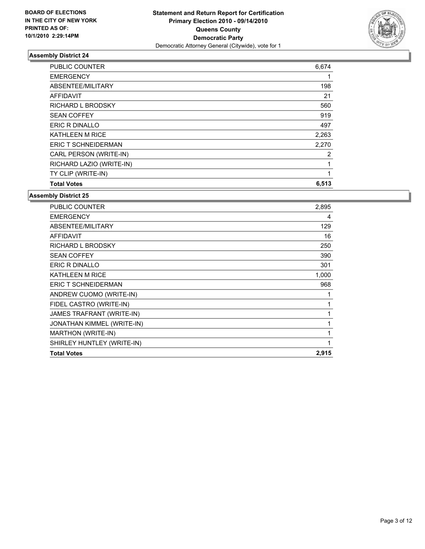

| <b>PUBLIC COUNTER</b>    | 6,674 |
|--------------------------|-------|
| <b>EMERGENCY</b>         |       |
| ABSENTEE/MILITARY        | 198   |
| <b>AFFIDAVIT</b>         | 21    |
| <b>RICHARD L BRODSKY</b> | 560   |
| <b>SEAN COFFEY</b>       | 919   |
| ERIC R DINALLO           | 497   |
| <b>KATHLEEN M RICE</b>   | 2,263 |
| ERIC T SCHNEIDERMAN      | 2,270 |
| CARL PERSON (WRITE-IN)   | 2     |
| RICHARD LAZIO (WRITE-IN) | 1     |
| TY CLIP (WRITE-IN)       | 1     |
| <b>Total Votes</b>       | 6,513 |

| 2,895        |
|--------------|
| 4            |
| 129          |
| 16           |
| 250          |
| 390          |
| 301          |
| 1,000        |
| 968          |
| 1            |
| $\mathbf{1}$ |
| 1            |
| 1            |
| 1            |
| 1            |
| 2,915        |
|              |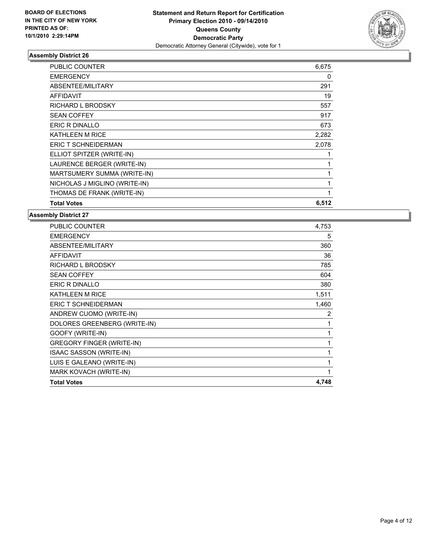

| <b>PUBLIC COUNTER</b>         | 6,675 |
|-------------------------------|-------|
| <b>EMERGENCY</b>              | 0     |
| ABSENTEE/MILITARY             | 291   |
| <b>AFFIDAVIT</b>              | 19    |
| <b>RICHARD L BRODSKY</b>      | 557   |
| <b>SEAN COFFEY</b>            | 917   |
| <b>ERIC R DINALLO</b>         | 673   |
| <b>KATHLEEN M RICE</b>        | 2,282 |
| <b>ERIC T SCHNEIDERMAN</b>    | 2,078 |
| ELLIOT SPITZER (WRITE-IN)     |       |
| LAURENCE BERGER (WRITE-IN)    | 1     |
| MARTSUMERY SUMMA (WRITE-IN)   | 1     |
| NICHOLAS J MIGLINO (WRITE-IN) | 1     |
| THOMAS DE FRANK (WRITE-IN)    | 1     |
| <b>Total Votes</b>            | 6,512 |

| <b>PUBLIC COUNTER</b>            | 4,753 |
|----------------------------------|-------|
| <b>EMERGENCY</b>                 | 5     |
| ABSENTEE/MILITARY                | 360   |
| <b>AFFIDAVIT</b>                 | 36    |
| <b>RICHARD L BRODSKY</b>         | 785   |
| <b>SEAN COFFEY</b>               | 604   |
| ERIC R DINALLO                   | 380   |
| <b>KATHLEEN M RICE</b>           | 1,511 |
| <b>ERIC T SCHNEIDERMAN</b>       | 1,460 |
| ANDREW CUOMO (WRITE-IN)          | 2     |
| DOLORES GREENBERG (WRITE-IN)     | 1     |
| GOOFY (WRITE-IN)                 | 1     |
| <b>GREGORY FINGER (WRITE-IN)</b> | 1     |
| <b>ISAAC SASSON (WRITE-IN)</b>   | 1     |
| LUIS E GALEANO (WRITE-IN)        | 1     |
| MARK KOVACH (WRITE-IN)           | 1     |
| <b>Total Votes</b>               | 4,748 |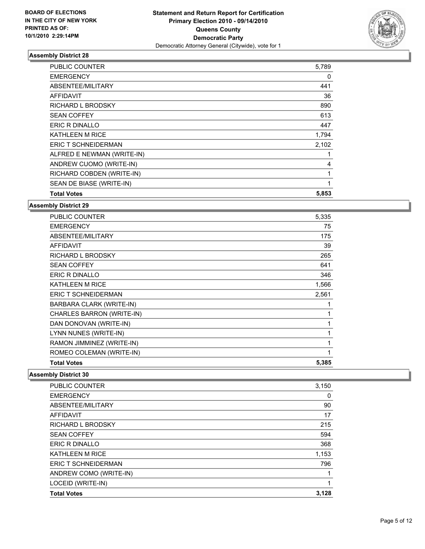

| <b>PUBLIC COUNTER</b>      | 5,789 |
|----------------------------|-------|
| <b>EMERGENCY</b>           | 0     |
| ABSENTEE/MILITARY          | 441   |
| <b>AFFIDAVIT</b>           | 36    |
| <b>RICHARD L BRODSKY</b>   | 890   |
| <b>SEAN COFFEY</b>         | 613   |
| <b>ERIC R DINALLO</b>      | 447   |
| <b>KATHLEEN M RICE</b>     | 1,794 |
| <b>ERIC T SCHNEIDERMAN</b> | 2,102 |
| ALFRED E NEWMAN (WRITE-IN) | 1     |
| ANDREW CUOMO (WRITE-IN)    | 4     |
| RICHARD COBDEN (WRITE-IN)  | 1     |
| SEAN DE BIASE (WRITE-IN)   | 1     |
| <b>Total Votes</b>         | 5,853 |

**Assembly District 29**

| <b>PUBLIC COUNTER</b>     | 5,335 |
|---------------------------|-------|
| <b>EMERGENCY</b>          | 75    |
| ABSENTEE/MILITARY         | 175   |
| <b>AFFIDAVIT</b>          | 39    |
| <b>RICHARD L BRODSKY</b>  | 265   |
| <b>SEAN COFFEY</b>        | 641   |
| ERIC R DINALLO            | 346   |
| <b>KATHLEEN M RICE</b>    | 1,566 |
| ERIC T SCHNEIDERMAN       | 2,561 |
| BARBARA CLARK (WRITE-IN)  | 1     |
| CHARLES BARRON (WRITE-IN) | 1     |
| DAN DONOVAN (WRITE-IN)    | 1     |
| LYNN NUNES (WRITE-IN)     | 1     |
| RAMON JIMMINEZ (WRITE-IN) | 1     |
| ROMEO COLEMAN (WRITE-IN)  | 1     |
| <b>Total Votes</b>        | 5,385 |

| <b>PUBLIC COUNTER</b>  | 3,150 |
|------------------------|-------|
| <b>EMERGENCY</b>       | 0     |
| ABSENTEE/MILITARY      | 90    |
| AFFIDAVIT              | 17    |
| RICHARD L BRODSKY      | 215   |
| <b>SEAN COFFEY</b>     | 594   |
| ERIC R DINALLO         | 368   |
| <b>KATHLEEN M RICE</b> | 1,153 |
| ERIC T SCHNEIDERMAN    | 796   |
| ANDREW COMO (WRITE-IN) |       |
| LOCEID (WRITE-IN)      | 1     |
| <b>Total Votes</b>     | 3,128 |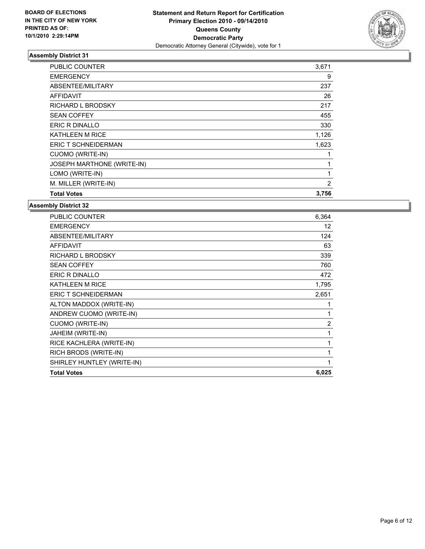

| <b>PUBLIC COUNTER</b>      | 3,671 |
|----------------------------|-------|
| <b>EMERGENCY</b>           | 9     |
| ABSENTEE/MILITARY          | 237   |
| <b>AFFIDAVIT</b>           | 26    |
| <b>RICHARD L BRODSKY</b>   | 217   |
| <b>SEAN COFFEY</b>         | 455   |
| ERIC R DINALLO             | 330   |
| <b>KATHLEEN M RICE</b>     | 1,126 |
| ERIC T SCHNEIDERMAN        | 1,623 |
| CUOMO (WRITE-IN)           |       |
| JOSEPH MARTHONE (WRITE-IN) | 1     |
| LOMO (WRITE-IN)            | 1     |
| M. MILLER (WRITE-IN)       | 2     |
| <b>Total Votes</b>         | 3,756 |

| <b>PUBLIC COUNTER</b>      | 6,364          |
|----------------------------|----------------|
| <b>EMERGENCY</b>           | 12             |
| ABSENTEE/MILITARY          | 124            |
| <b>AFFIDAVIT</b>           | 63             |
| <b>RICHARD L BRODSKY</b>   | 339            |
| <b>SEAN COFFEY</b>         | 760            |
| <b>ERIC R DINALLO</b>      | 472            |
| <b>KATHLEEN M RICE</b>     | 1,795          |
| ERIC T SCHNEIDERMAN        | 2,651          |
| ALTON MADDOX (WRITE-IN)    | 1              |
| ANDREW CUOMO (WRITE-IN)    | 1              |
| <b>CUOMO (WRITE-IN)</b>    | $\overline{2}$ |
| JAHEIM (WRITE-IN)          | 1              |
| RICE KACHLERA (WRITE-IN)   | 1              |
| RICH BRODS (WRITE-IN)      | 1              |
| SHIRLEY HUNTLEY (WRITE-IN) | $\mathbf{1}$   |
| <b>Total Votes</b>         | 6,025          |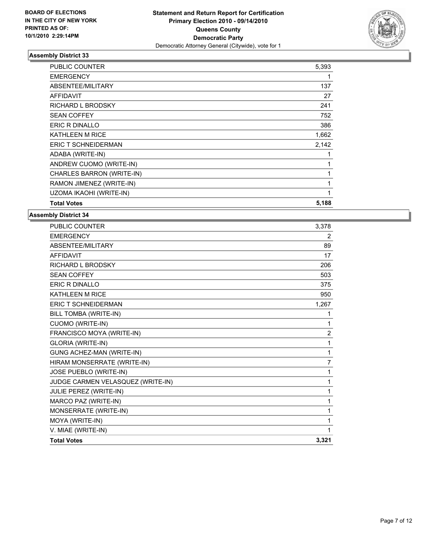

| <b>Total Votes</b>         | 5,188 |
|----------------------------|-------|
| UZOMA IKAOHI (WRITE-IN)    | 1     |
| RAMON JIMENEZ (WRITE-IN)   | 1     |
| CHARLES BARRON (WRITE-IN)  | 1     |
| ANDREW CUOMO (WRITE-IN)    | 1     |
| ADABA (WRITE-IN)           | 1     |
| <b>ERIC T SCHNEIDERMAN</b> | 2,142 |
| KATHLEEN M RICE            | 1,662 |
| <b>ERIC R DINALLO</b>      | 386   |
| <b>SEAN COFFEY</b>         | 752   |
| RICHARD L BRODSKY          | 241   |
| <b>AFFIDAVIT</b>           | 27    |
| ABSENTEE/MILITARY          | 137   |
| <b>EMERGENCY</b>           | 1     |
| PUBLIC COUNTER             | 5,393 |

| <b>PUBLIC COUNTER</b>             | 3,378        |
|-----------------------------------|--------------|
| <b>EMERGENCY</b>                  | 2            |
| ABSENTEE/MILITARY                 | 89           |
| <b>AFFIDAVIT</b>                  | 17           |
| <b>RICHARD L BRODSKY</b>          | 206          |
| <b>SEAN COFFEY</b>                | 503          |
| <b>ERIC R DINALLO</b>             | 375          |
| <b>KATHLEEN M RICE</b>            | 950          |
| <b>ERIC T SCHNEIDERMAN</b>        | 1,267        |
| BILL TOMBA (WRITE-IN)             | 1            |
| <b>CUOMO (WRITE-IN)</b>           | 1            |
| FRANCISCO MOYA (WRITE-IN)         | 2            |
| <b>GLORIA (WRITE-IN)</b>          | 1            |
| GUNG ACHEZ-MAN (WRITE-IN)         | $\mathbf{1}$ |
| HIRAM MONSERRATE (WRITE-IN)       | 7            |
| JOSE PUEBLO (WRITE-IN)            | 1            |
| JUDGE CARMEN VELASQUEZ (WRITE-IN) | 1            |
| JULIE PEREZ (WRITE-IN)            | 1            |
| MARCO PAZ (WRITE-IN)              | 1            |
| MONSERRATE (WRITE-IN)             | 1            |
| MOYA (WRITE-IN)                   | 1            |
| V. MIAE (WRITE-IN)                | 1            |
| <b>Total Votes</b>                | 3,321        |
|                                   |              |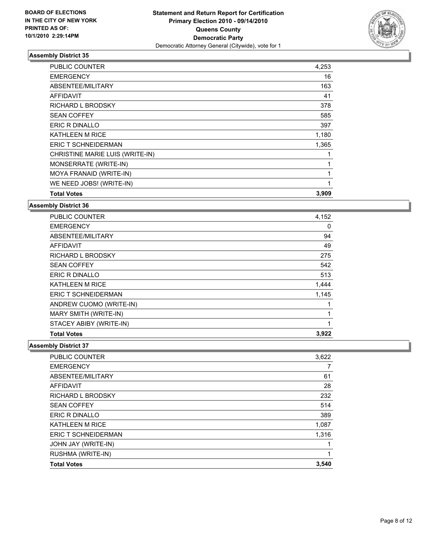

| <b>PUBLIC COUNTER</b>           | 4,253        |
|---------------------------------|--------------|
| <b>EMERGENCY</b>                | 16           |
| ABSENTEE/MILITARY               | 163          |
| AFFIDAVIT                       | 41           |
| RICHARD L BRODSKY               | 378          |
| <b>SEAN COFFEY</b>              | 585          |
| <b>ERIC R DINALLO</b>           | 397          |
| <b>KATHLEEN M RICE</b>          | 1,180        |
| <b>ERIC T SCHNEIDERMAN</b>      | 1,365        |
| CHRISTINE MARIE LUIS (WRITE-IN) | 1            |
| MONSERRATE (WRITE-IN)           | $\mathbf{1}$ |
| MOYA FRANAID (WRITE-IN)         | $\mathbf{1}$ |
| WE NEED JOBS! (WRITE-IN)        | 1            |
| <b>Total Votes</b>              | 3,909        |

**Assembly District 36**

| <b>PUBLIC COUNTER</b>      | 4,152 |
|----------------------------|-------|
| <b>EMERGENCY</b>           | 0     |
| ABSENTEE/MILITARY          | 94    |
| AFFIDAVIT                  | 49    |
| RICHARD L BRODSKY          | 275   |
| <b>SEAN COFFEY</b>         | 542   |
| ERIC R DINALLO             | 513   |
| <b>KATHLEEN M RICE</b>     | 1,444 |
| <b>ERIC T SCHNEIDERMAN</b> | 1,145 |
| ANDREW CUOMO (WRITE-IN)    | 1     |
| MARY SMITH (WRITE-IN)      |       |
| STACEY ABIBY (WRITE-IN)    | 1     |
| <b>Total Votes</b>         | 3,922 |

| <b>PUBLIC COUNTER</b>      | 3,622 |
|----------------------------|-------|
| <b>EMERGENCY</b>           | 7     |
| ABSENTEE/MILITARY          | 61    |
| <b>AFFIDAVIT</b>           | 28    |
| RICHARD L BRODSKY          | 232   |
| <b>SEAN COFFEY</b>         | 514   |
| ERIC R DINALLO             | 389   |
| <b>KATHLEEN M RICE</b>     | 1,087 |
| <b>ERIC T SCHNEIDERMAN</b> | 1,316 |
| <b>JOHN JAY (WRITE-IN)</b> |       |
| RUSHMA (WRITE-IN)          | 1     |
| <b>Total Votes</b>         | 3,540 |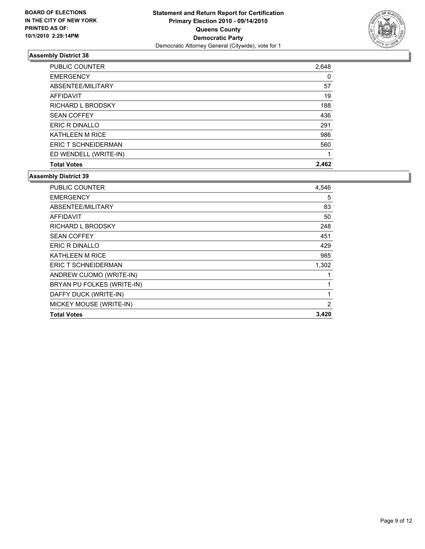

| <b>Total Votes</b>     | 2.462 |
|------------------------|-------|
| ED WENDELL (WRITE-IN)  |       |
| ERIC T SCHNEIDERMAN    | 560   |
| <b>KATHLEEN M RICE</b> | 986   |
| ERIC R DINALLO         | 291   |
| <b>SEAN COFFEY</b>     | 436   |
| RICHARD L BRODSKY      | 188   |
| <b>AFFIDAVIT</b>       | 19    |
| ABSENTEE/MILITARY      | 57    |
| <b>EMERGENCY</b>       | 0     |
| PUBLIC COUNTER         | 2,648 |

| <b>PUBLIC COUNTER</b>      | 4,546          |
|----------------------------|----------------|
| <b>EMERGENCY</b>           | 5              |
| ABSENTEE/MILITARY          | 83             |
| AFFIDAVIT                  | 50             |
| <b>RICHARD L BRODSKY</b>   | 248            |
| <b>SEAN COFFEY</b>         | 451            |
| ERIC R DINALLO             | 429            |
| <b>KATHLEEN M RICE</b>     | 985            |
| <b>ERIC T SCHNEIDERMAN</b> | 1,302          |
| ANDREW CUOMO (WRITE-IN)    | 1              |
| BRYAN PU FOLKES (WRITE-IN) | 1              |
| DAFFY DUCK (WRITE-IN)      | 1              |
| MICKEY MOUSE (WRITE-IN)    | $\overline{2}$ |
| <b>Total Votes</b>         | 3,420          |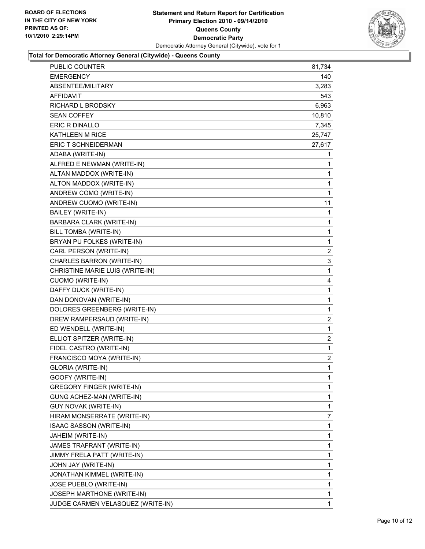

#### **Total for Democratic Attorney General (Citywide) - Queens County**

| <b>PUBLIC COUNTER</b>            |                                   | 81,734 |
|----------------------------------|-----------------------------------|--------|
| <b>EMERGENCY</b>                 |                                   | 140    |
| ABSENTEE/MILITARY                |                                   | 3,283  |
| AFFIDAVIT                        |                                   | 543    |
| RICHARD L BRODSKY                |                                   | 6,963  |
| <b>SEAN COFFEY</b>               |                                   | 10,810 |
| <b>ERIC R DINALLO</b>            |                                   | 7,345  |
| <b>KATHLEEN M RICE</b>           |                                   | 25,747 |
| <b>ERIC T SCHNEIDERMAN</b>       |                                   | 27,617 |
| ADABA (WRITE-IN)                 |                                   | 1      |
| ALFRED E NEWMAN (WRITE-IN)       |                                   | 1      |
| ALTAN MADDOX (WRITE-IN)          |                                   | 1      |
| ALTON MADDOX (WRITE-IN)          |                                   | 1      |
| ANDREW COMO (WRITE-IN)           |                                   | 1      |
| ANDREW CUOMO (WRITE-IN)          |                                   | 11     |
| <b>BAILEY (WRITE-IN)</b>         |                                   | 1      |
| BARBARA CLARK (WRITE-IN)         |                                   | 1      |
| BILL TOMBA (WRITE-IN)            |                                   | 1      |
| BRYAN PU FOLKES (WRITE-IN)       |                                   | 1      |
| CARL PERSON (WRITE-IN)           |                                   | 2      |
| CHARLES BARRON (WRITE-IN)        |                                   | 3      |
|                                  | CHRISTINE MARIE LUIS (WRITE-IN)   | 1      |
| <b>CUOMO (WRITE-IN)</b>          |                                   | 4      |
| DAFFY DUCK (WRITE-IN)            |                                   | 1      |
| DAN DONOVAN (WRITE-IN)           |                                   | 1      |
|                                  | DOLORES GREENBERG (WRITE-IN)      | 1      |
|                                  | DREW RAMPERSAUD (WRITE-IN)        | 2      |
| ED WENDELL (WRITE-IN)            |                                   | 1      |
| ELLIOT SPITZER (WRITE-IN)        |                                   | 2      |
| FIDEL CASTRO (WRITE-IN)          |                                   | 1      |
| FRANCISCO MOYA (WRITE-IN)        |                                   | 2      |
| <b>GLORIA (WRITE-IN)</b>         |                                   | 1      |
| GOOFY (WRITE-IN)                 |                                   | 1      |
| <b>GREGORY FINGER (WRITE-IN)</b> |                                   | 1      |
| GUNG ACHEZ-MAN (WRITE-IN)        |                                   | 1      |
| <b>GUY NOVAK (WRITE-IN)</b>      |                                   | 1      |
|                                  | HIRAM MONSERRATE (WRITE-IN)       | 7      |
| ISAAC SASSON (WRITE-IN)          |                                   | 1      |
| JAHEIM (WRITE-IN)                |                                   | 1      |
| JAMES TRAFRANT (WRITE-IN)        |                                   | 1      |
| JIMMY FRELA PATT (WRITE-IN)      |                                   | 1      |
| JOHN JAY (WRITE-IN)              |                                   | 1      |
| JONATHAN KIMMEL (WRITE-IN)       |                                   | 1      |
| JOSE PUEBLO (WRITE-IN)           |                                   | 1      |
|                                  | JOSEPH MARTHONE (WRITE-IN)        | 1      |
|                                  | JUDGE CARMEN VELASQUEZ (WRITE-IN) | 1      |
|                                  |                                   |        |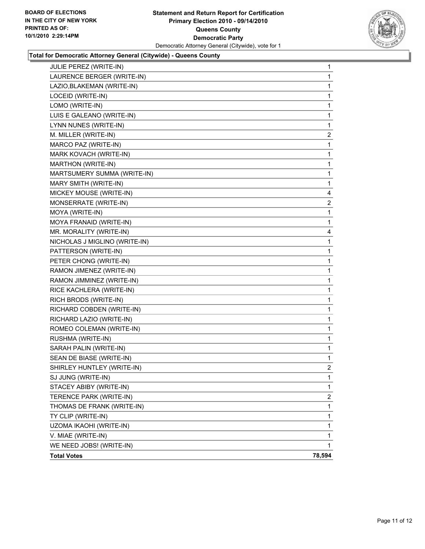

#### **Total for Democratic Attorney General (Citywide) - Queens County**

| JULIE PEREZ (WRITE-IN)        | 1            |
|-------------------------------|--------------|
| LAURENCE BERGER (WRITE-IN)    | 1            |
| LAZIO, BLAKEMAN (WRITE-IN)    | 1            |
| LOCEID (WRITE-IN)             | 1            |
| LOMO (WRITE-IN)               | 1            |
| LUIS E GALEANO (WRITE-IN)     | 1            |
| LYNN NUNES (WRITE-IN)         | 1            |
| M. MILLER (WRITE-IN)          | 2            |
| MARCO PAZ (WRITE-IN)          | 1            |
| MARK KOVACH (WRITE-IN)        | 1            |
| MARTHON (WRITE-IN)            | $\mathbf{1}$ |
| MARTSUMERY SUMMA (WRITE-IN)   | 1            |
| MARY SMITH (WRITE-IN)         | 1            |
| MICKEY MOUSE (WRITE-IN)       | 4            |
| MONSERRATE (WRITE-IN)         | 2            |
| MOYA (WRITE-IN)               | 1            |
| MOYA FRANAID (WRITE-IN)       | 1            |
| MR. MORALITY (WRITE-IN)       | 4            |
| NICHOLAS J MIGLINO (WRITE-IN) | 1            |
| PATTERSON (WRITE-IN)          | 1            |
| PETER CHONG (WRITE-IN)        | 1            |
| RAMON JIMENEZ (WRITE-IN)      | 1            |
| RAMON JIMMINEZ (WRITE-IN)     | 1            |
| RICE KACHLERA (WRITE-IN)      | 1            |
| RICH BRODS (WRITE-IN)         | 1            |
| RICHARD COBDEN (WRITE-IN)     | 1            |
| RICHARD LAZIO (WRITE-IN)      | 1            |
| ROMEO COLEMAN (WRITE-IN)      | 1            |
| RUSHMA (WRITE-IN)             | 1            |
| SARAH PALIN (WRITE-IN)        | 1            |
| SEAN DE BIASE (WRITE-IN)      | 1            |
| SHIRLEY HUNTLEY (WRITE-IN)    | 2            |
| SJ JUNG (WRITE-IN)            | 1            |
| STACEY ABIBY (WRITE-IN)       | 1            |
| TERENCE PARK (WRITE-IN)       | 2            |
| THOMAS DE FRANK (WRITE-IN)    | 1            |
| TY CLIP (WRITE-IN)            | 1            |
| UZOMA IKAOHI (WRITE-IN)       | 1            |
| V. MIAE (WRITE-IN)            | 1            |
| WE NEED JOBS! (WRITE-IN)      | 1            |
| <b>Total Votes</b>            | 78,594       |
|                               |              |